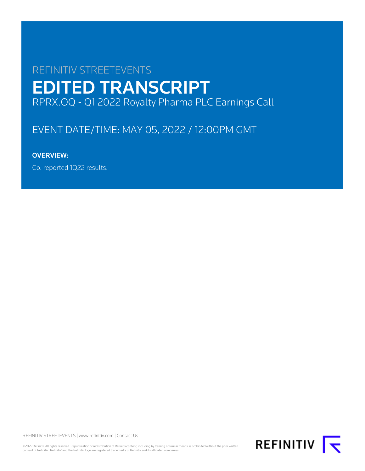# REFINITIV STREETEVENTS EDITED TRANSCRIPT RPRX.OQ - Q1 2022 Royalty Pharma PLC Earnings Call

# EVENT DATE/TIME: MAY 05, 2022 / 12:00PM GMT

# OVERVIEW:

Co. reported 1Q22 results.

REFINITIV STREETEVENTS | [www.refinitiv.com](https://www.refinitiv.com/) | [Contact Us](https://www.refinitiv.com/en/contact-us)

©2022 Refinitiv. All rights reserved. Republication or redistribution of Refinitiv content, including by framing or similar means, is prohibited without the prior written<br>consent of Refinitiv. 'Refinitiv' and the Refinitiv

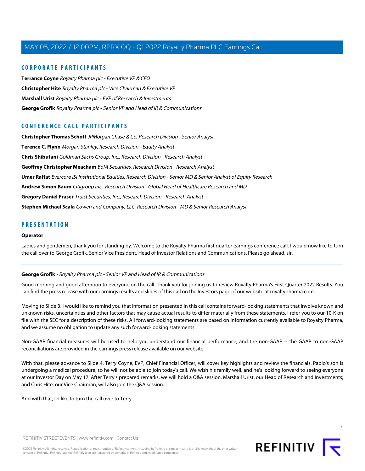## **CORPORATE PARTICIPANTS**

**[Terrance Coyne](#page-2-0)** Royalty Pharma plc - Executive VP & CFO **[Christopher Hite](#page-5-0)** Royalty Pharma plc - Vice Chairman & Executive VP **[Marshall Urist](#page-5-1)** Royalty Pharma plc - EVP of Research & Investments **[George Grofik](#page-1-0)** Royalty Pharma plc - Senior VP and Head of IR & Communications

# **CONFERENCE CALL PARTICIPANTS**

**[Christopher Thomas Schott](#page-5-2)** JPMorgan Chase & Co, Research Division - Senior Analyst **[Terence C. Flynn](#page-6-0)** Morgan Stanley, Research Division - Equity Analyst **[Chris Shibutani](#page-7-0)** Goldman Sachs Group, Inc., Research Division - Research Analyst **[Geoffrey Christopher Meacham](#page-8-0)** BofA Securities, Research Division - Research Analyst **[Umer Raffat](#page-8-1)** Evercore ISI Institutional Equities, Research Division - Senior MD & Senior Analyst of Equity Research **[Andrew Simon Baum](#page-9-0)** Citigroup Inc., Research Division - Global Head of Healthcare Research and MD **[Gregory Daniel Fraser](#page-10-0)** Truist Securities, Inc., Research Division - Research Analyst **[Stephen Michael Scala](#page-10-1)** Cowen and Company, LLC, Research Division - MD & Senior Research Analyst

# **PRESENTATION**

#### **Operator**

<span id="page-1-0"></span>Ladies and gentlemen, thank you for standing by. Welcome to the Royalty Pharma first quarter earnings conference call. I would now like to turn the call over to George Grofik, Senior Vice President, Head of Investor Relations and Communications. Please go ahead, sir.

## **George Grofik** - Royalty Pharma plc - Senior VP and Head of IR & Communications

Good morning and good afternoon to everyone on the call. Thank you for joining us to review Royalty Pharma's First Quarter 2022 Results. You can find the press release with our earnings results and slides of this call on the Investors page of our website at royaltypharma.com.

Moving to Slide 3. I would like to remind you that information presented in this call contains forward-looking statements that involve known and unknown risks, uncertainties and other factors that may cause actual results to differ materially from these statements. I refer you to our 10-K on file with the SEC for a description of these risks. All forward-looking statements are based on information currently available to Royalty Pharma, and we assume no obligation to update any such forward-looking statements.

Non-GAAP financial measures will be used to help you understand our financial performance, and the non-GAAP -- the GAAP to non-GAAP reconciliations are provided in the earnings press release available on our website.

With that, please advance to Slide 4. Terry Coyne, EVP, Chief Financial Officer, will cover key highlights and review the financials. Pablo's son is undergoing a medical procedure, so he will not be able to join today's call. We wish his family well, and he's looking forward to seeing everyone at our Investor Day on May 17. After Terry's prepared remarks, we will hold a Q&A session. Marshall Urist, our Head of Research and Investments; and Chris Hite, our Vice Chairman, will also join the Q&A session.

And with that, I'd like to turn the call over to Terry.

 $\overline{2}$ 

REFINITIV STREETEVENTS | [www.refinitiv.com](https://www.refinitiv.com/) | [Contact Us](https://www.refinitiv.com/en/contact-us)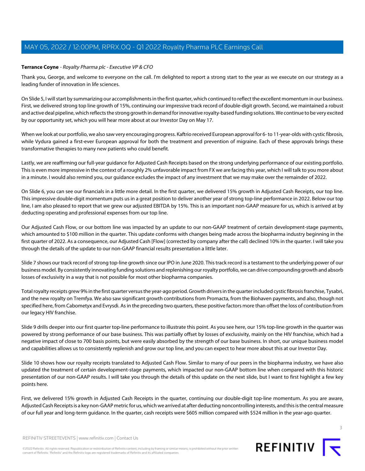## <span id="page-2-0"></span>**Terrance Coyne** - Royalty Pharma plc - Executive VP & CFO

Thank you, George, and welcome to everyone on the call. I'm delighted to report a strong start to the year as we execute on our strategy as a leading funder of innovation in life sciences.

On Slide 5, I will start by summarizing our accomplishments in the first quarter, which continued to reflect the excellent momentum in our business. First, we delivered strong top line growth of 15%, continuing our impressive track record of double-digit growth. Second, we maintained a robust and active deal pipeline, which reflects the strong growth in demand for innovative royalty-based funding solutions. We continue to be very excited by our opportunity set, which you will hear more about at our Investor Day on May 17.

When we look at our portfolio, we also saw very encouraging progress. Kaftrio received European approval for 6-to 11-year-olds with cystic fibrosis, while Vydura gained a first-ever European approval for both the treatment and prevention of migraine. Each of these approvals brings these transformative therapies to many new patients who could benefit.

Lastly, we are reaffirming our full-year guidance for Adjusted Cash Receipts based on the strong underlying performance of our existing portfolio. This is even more impressive in the context of a roughly 2% unfavorable impact from FX we are facing this year, which I will talk to you more about in a minute. I would also remind you, our guidance excludes the impact of any investment that we may make over the remainder of 2022.

On Slide 6, you can see our financials in a little more detail. In the first quarter, we delivered 15% growth in Adjusted Cash Receipts, our top line. This impressive double-digit momentum puts us in a great position to deliver another year of strong top-line performance in 2022. Below our top line, I am also pleased to report that we grew our adjusted EBITDA by 15%. This is an important non-GAAP measure for us, which is arrived at by deducting operating and professional expenses from our top line.

Our Adjusted Cash Flow, or our bottom line was impacted by an update to our non-GAAP treatment of certain development-stage payments, which amounted to \$100 million in the quarter. This update conforms with changes being made across the biopharma industry beginning in the first quarter of 2022. As a consequence, our Adjusted Cash [Flow] (corrected by company after the call) declined 10% in the quarter. I will take you through the details of the update to our non-GAAP financial results presentation a little later.

Slide 7 shows our track record of strong top-line growth since our IPO in June 2020. This track record is a testament to the underlying power of our business model. By consistently innovating funding solutions and replenishing our royalty portfolio, we can drive compounding growth and absorb losses of exclusivity in a way that is not possible for most other biopharma companies.

Total royalty receipts grew 9% in the first quarter versus the year-ago period. Growth drivers in the quarter included cystic fibrosis franchise, Tysabri, and the new royalty on Tremfya. We also saw significant growth contributions from Promacta, from the Biohaven payments, and also, though not specified here, from Cabometyx and Evrysdi. As in the preceding two quarters, these positive factors more than offset the loss of contribution from our legacy HIV franchise.

Slide 9 drills deeper into our first quarter top-line performance to illustrate this point. As you see here, our 15% top-line growth in the quarter was powered by strong performance of our base business. This was partially offset by losses of exclusivity, mainly on the HIV franchise, which had a negative impact of close to 700 basis points, but were easily absorbed by the strength of our base business. In short, our unique business model and capabilities allows us to consistently replenish and grow our top line, and you can expect to hear more about this at our Investor Day.

Slide 10 shows how our royalty receipts translated to Adjusted Cash Flow. Similar to many of our peers in the biopharma industry, we have also updated the treatment of certain development-stage payments, which impacted our non-GAAP bottom line when compared with this historic presentation of our non-GAAP results. I will take you through the details of this update on the next slide, but I want to first highlight a few key points here.

First, we delivered 15% growth in Adjusted Cash Receipts in the quarter, continuing our double-digit top-line momentum. As you are aware, Adjusted Cash Receipts is a key non-GAAP metric for us, which we arrived at after deducting noncontrolling interests, and this is the central measure of our full year and long-term guidance. In the quarter, cash receipts were \$605 million compared with \$524 million in the year-ago quarter.



©2022 Refinitiv. All rights reserved. Republication or redistribution of Refinitiv content, including by framing or similar means, is prohibited without the prior written consent of Refinitiv. 'Refinitiv' and the Refinitiv logo are registered trademarks of Refinitiv and its affiliated companies.

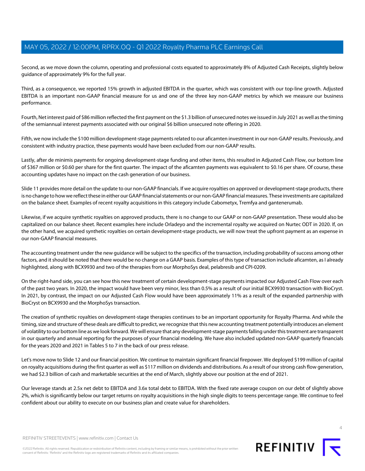Second, as we move down the column, operating and professional costs equated to approximately 8% of Adjusted Cash Receipts, slightly below guidance of approximately 9% for the full year.

Third, as a consequence, we reported 15% growth in adjusted EBITDA in the quarter, which was consistent with our top-line growth. Adjusted EBITDA is an important non-GAAP financial measure for us and one of the three key non-GAAP metrics by which we measure our business performance.

Fourth, Net interest paid of \$86 million reflected the first payment on the \$1.3 billion of unsecured notes we issued in July 2021 as well as the timing of the semiannual interest payments associated with our original \$6 billion unsecured note offering in 2020.

Fifth, we now include the \$100 million development-stage payments related to our aficamten investment in our non-GAAP results. Previously, and consistent with industry practice, these payments would have been excluded from our non-GAAP results.

Lastly, after de minimis payments for ongoing development-stage funding and other items, this resulted in Adjusted Cash Flow, our bottom line of \$367 million or \$0.60 per share for the first quarter. The impact of the aficamten payments was equivalent to \$0.16 per share. Of course, these accounting updates have no impact on the cash generation of our business.

Slide 11 provides more detail on the update to our non-GAAP financials. If we acquire royalties on approved or development-stage products, there is no change to how we reflect these in either our GAAP financial statements or our non-GAAP financial measures. These investments are capitalized on the balance sheet. Examples of recent royalty acquisitions in this category include Cabometyx, Tremfya and gantenerumab.

Likewise, if we acquire synthetic royalties on approved products, there is no change to our GAAP or non-GAAP presentation. These would also be capitalized on our balance sheet. Recent examples here include Orladeyo and the incremental royalty we acquired on Nurtec ODT in 2020. If, on the other hand, we acquired synthetic royalties on certain development-stage products, we will now treat the upfront payment as an expense in our non-GAAP financial measures.

The accounting treatment under the new guidance will be subject to the specifics of the transaction, including probability of success among other factors, and it should be noted that there would be no change on a GAAP basis. Examples of this type of transaction include aficamten, as I already highlighted, along with BCX9930 and two of the therapies from our MorphoSys deal, pelabresib and CPI-0209.

On the right-hand side, you can see how this new treatment of certain development-stage payments impacted our Adjusted Cash Flow over each of the past two years. In 2020, the impact would have been very minor, less than 0.5% as a result of our initial BCX9930 transaction with BioCryst. In 2021, by contrast, the impact on our Adjusted Cash Flow would have been approximately 11% as a result of the expanded partnership with BioCryst on BCX9930 and the MorphoSys transaction.

The creation of synthetic royalties on development-stage therapies continues to be an important opportunity for Royalty Pharma. And while the timing, size and structure of these deals are difficult to predict, we recognize that this new accounting treatment potentially introduces an element of volatility to our bottom line as we look forward. We will ensure that any development-stage payments falling under this treatment are transparent in our quarterly and annual reporting for the purposes of your financial modeling. We have also included updated non-GAAP quarterly financials for the years 2020 and 2021 in Tables 5 to 7 in the back of our press release.

Let's move now to Slide 12 and our financial position. We continue to maintain significant financial firepower. We deployed \$199 million of capital on royalty acquisitions during the first quarter as well as \$117 million on dividends and distributions. As a result of our strong cash flow generation, we had \$2.3 billion of cash and marketable securities at the end of March, slightly above our position at the end of 2021.

Our leverage stands at 2.5x net debt to EBITDA and 3.6x total debt to EBITDA. With the fixed rate average coupon on our debt of slightly above 2%, which is significantly below our target returns on royalty acquisitions in the high single digits to teens percentage range. We continue to feel confident about our ability to execute on our business plan and create value for shareholders.

©2022 Refinitiv. All rights reserved. Republication or redistribution of Refinitiv content, including by framing or similar means, is prohibited without the prior written consent of Refinitiv. 'Refinitiv' and the Refinitiv logo are registered trademarks of Refinitiv and its affiliated companies.

REFINITIV T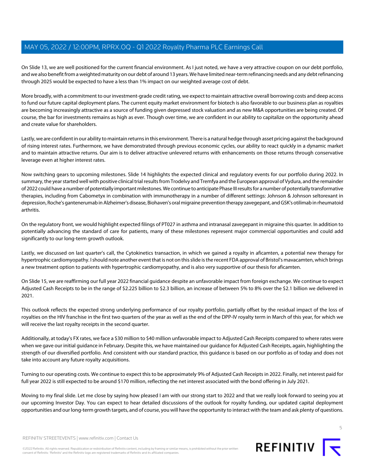On Slide 13, we are well positioned for the current financial environment. As I just noted, we have a very attractive coupon on our debt portfolio, and we also benefit from a weighted maturity on our debt of around 13 years. We have limited near-term refinancing needs and any debt refinancing through 2025 would be expected to have a less than 1% impact on our weighted average cost of debt.

More broadly, with a commitment to our investment-grade credit rating, we expect to maintain attractive overall borrowing costs and deep access to fund our future capital deployment plans. The current equity market environment for biotech is also favorable to our business plan as royalties are becoming increasingly attractive as a source of funding given depressed stock valuation and as new M&A opportunities are being created. Of course, the bar for investments remains as high as ever. Though over time, we are confident in our ability to capitalize on the opportunity ahead and create value for shareholders.

Lastly, we are confident in our ability to maintain returns in this environment. There is a natural hedge through asset pricing against the background of rising interest rates. Furthermore, we have demonstrated through previous economic cycles, our ability to react quickly in a dynamic market and to maintain attractive returns. Our aim is to deliver attractive unlevered returns with enhancements on those returns through conservative leverage even at higher interest rates.

Now switching gears to upcoming milestones. Slide 14 highlights the expected clinical and regulatory events for our portfolio during 2022. In summary, the year started well with positive clinical trial results from Trodelvy and Tremfya and the European approval of Vydura, and the remainder of 2022 could have a number of potentially important milestones. We continue to anticipate Phase III results for a number of potentially transformative therapies, including from Cabometyx in combination with immunotherapy in a number of different settings: Johnson & Johnson seltorexant in depression, Roche's gantenerumab in Alzheimer's disease, Biohaven's oral migraine prevention therapy zavegepant, and GSK's otilimab in rheumatoid arthritis.

On the regulatory front, we would highlight expected filings of PT027 in asthma and intranasal zavegepant in migraine this quarter. In addition to potentially advancing the standard of care for patients, many of these milestones represent major commercial opportunities and could add significantly to our long-term growth outlook.

Lastly, we discussed on last quarter's call, the Cytokinetics transaction, in which we gained a royalty in aficamten, a potential new therapy for hypertrophic cardiomyopathy. I should note another event that is not on this slide is the recent FDA approval of Bristol's mavacamten, which brings a new treatment option to patients with hypertrophic cardiomyopathy, and is also very supportive of our thesis for aficamten.

On Slide 15, we are reaffirming our full year 2022 financial guidance despite an unfavorable impact from foreign exchange. We continue to expect Adjusted Cash Receipts to be in the range of \$2.225 billion to \$2.3 billion, an increase of between 5% to 8% over the \$2.1 billion we delivered in 2021.

This outlook reflects the expected strong underlying performance of our royalty portfolio, partially offset by the residual impact of the loss of royalties on the HIV franchise in the first two quarters of the year as well as the end of the DPP-IV royalty term in March of this year, for which we will receive the last royalty receipts in the second quarter.

Additionally, at today's FX rates, we face a \$30 million to \$40 million unfavorable impact to Adjusted Cash Receipts compared to where rates were when we gave our initial guidance in February. Despite this, we have maintained our guidance for Adjusted Cash Receipts, again, highlighting the strength of our diversified portfolio. And consistent with our standard practice, this guidance is based on our portfolio as of today and does not take into account any future royalty acquisitions.

Turning to our operating costs. We continue to expect this to be approximately 9% of Adjusted Cash Receipts in 2022. Finally, net interest paid for full year 2022 is still expected to be around \$170 million, reflecting the net interest associated with the bond offering in July 2021.

Moving to my final slide. Let me close by saying how pleased I am with our strong start to 2022 and that we really look forward to seeing you at our upcoming Investor Day. You can expect to hear detailed discussions of the outlook for royalty funding, our updated capital deployment opportunities and our long-term growth targets, and of course, you will have the opportunity to interact with the team and ask plenty of questions.



5

REFINITIV STREETEVENTS | [www.refinitiv.com](https://www.refinitiv.com/) | [Contact Us](https://www.refinitiv.com/en/contact-us)

©2022 Refinitiv. All rights reserved. Republication or redistribution of Refinitiv content, including by framing or similar means, is prohibited without the prior written consent of Refinitiv. 'Refinitiv' and the Refinitiv logo are registered trademarks of Refinitiv and its affiliated companies.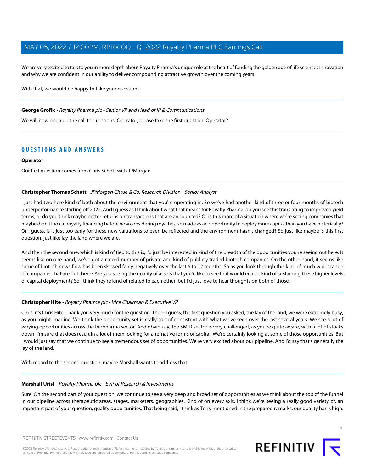We are very excited to talk to you in more depth about Royalty Pharma's unique role at the heart of funding the golden age of life sciences innovation and why we are confident in our ability to deliver compounding attractive growth over the coming years.

With that, we would be happy to take your questions.

#### **George Grofik** - Royalty Pharma plc - Senior VP and Head of IR & Communications

We will now open up the call to questions. Operator, please take the first question. Operator?

# **QUESTIONS AND ANSWERS**

#### **Operator**

<span id="page-5-2"></span>Our first question comes from Chris Schott with JPMorgan.

#### **Christopher Thomas Schott** - JPMorgan Chase & Co, Research Division - Senior Analyst

I just had two here kind of both about the environment that you're operating in. So we've had another kind of three or four months of biotech underperformance starting off 2022. And I guess as I think about what that means for Royalty Pharma, do you see this translating to improved yield terms, or do you think maybe better returns on transactions that are announced? Or is this more of a situation where we're seeing companies that maybe didn't look at royalty financing before now considering royalties, so made as an opportunity to deploy more capital than you have historically? Or I guess, is it just too early for these new valuations to even be reflected and the environment hasn't changed? So just like maybe is this first question, just like lay the land where we are.

<span id="page-5-0"></span>And then the second one, which is kind of tied to this is, I'd just be interested in kind of the breadth of the opportunities you're seeing out here. It seems like on one hand, we've got a record number of private and kind of publicly traded biotech companies. On the other hand, it seems like some of biotech news flow has been skewed fairly negatively over the last 6 to 12 months. So as you look through this kind of much wider range of companies that are out there? Are you seeing the quality of assets that you'd like to see that would enable kind of sustaining these higher levels of capital deployment? So I think they're kind of related to each other, but I'd just love to hear thoughts on both of those.

## **Christopher Hite** - Royalty Pharma plc - Vice Chairman & Executive VP

Chris, it's Chris Hite. Thank you very much for the question. The -- I guess, the first question you asked, the lay of the land, we were extremely busy, as you might imagine. We think the opportunity set is really sort of consistent with what we've seen over the last several years. We see a lot of varying opportunities across the biopharma sector. And obviously, the SMID sector is very challenged, as you're quite aware, with a lot of stocks down. I'm sure that does result in a lot of them looking for alternative forms of capital. We're certainly looking at some of those opportunities. But I would just say that we continue to see a tremendous set of opportunities. We're very excited about our pipeline. And I'd say that's generally the lay of the land.

<span id="page-5-1"></span>With regard to the second question, maybe Marshall wants to address that.

#### **Marshall Urist** - Royalty Pharma plc - EVP of Research & Investments

Sure. On the second part of your question, we continue to see a very deep and broad set of opportunities as we think about the top of the funnel in our pipeline across therapeutic areas, stages, marketers, geographies. Kind of on every axis, I think we're seeing a really good variety of, an important part of your question, quality opportunities. That being said, I think as Terry mentioned in the prepared remarks, our quality bar is high.

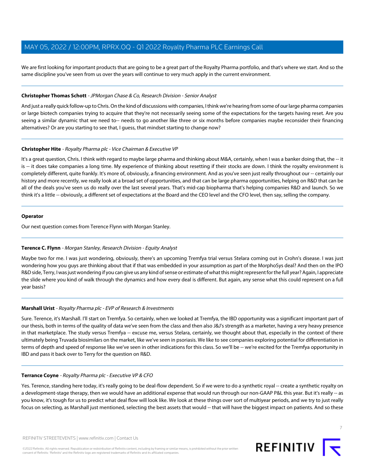We are first looking for important products that are going to be a great part of the Royalty Pharma portfolio, and that's where we start. And so the same discipline you've seen from us over the years will continue to very much apply in the current environment.

#### **Christopher Thomas Schott** - JPMorgan Chase & Co, Research Division - Senior Analyst

And just a really quick follow-up to Chris. On the kind of discussions with companies, I think we're hearing from some of our large pharma companies or large biotech companies trying to acquire that they're not necessarily seeing some of the expectations for the targets having reset. Are you seeing a similar dynamic that we need to-- needs to go another like three or six months before companies maybe reconsider their financing alternatives? Or are you starting to see that, I guess, that mindset starting to change now?

#### **Christopher Hite** - Royalty Pharma plc - Vice Chairman & Executive VP

It's a great question, Chris. I think with regard to maybe large pharma and thinking about M&A, certainly, when I was a banker doing that, the -- it is -- it does take companies a long time. My experience of thinking about resetting if their stocks are down. I think the royalty environment is completely different, quite frankly. It's more of, obviously, a financing environment. And as you've seen just really throughout our -- certainly our history and more recently, we really look at a broad set of opportunities, and that can be large pharma opportunities, helping on R&D that can be all of the deals you've seen us do really over the last several years. That's mid-cap biopharma that's helping companies R&D and launch. So we think it's a little -- obviously, a different set of expectations at the Board and the CEO level and the CFO level, then say, selling the company.

#### **Operator**

<span id="page-6-0"></span>Our next question comes from Terence Flynn with Morgan Stanley.

#### **Terence C. Flynn** - Morgan Stanley, Research Division - Equity Analyst

Maybe two for me. I was just wondering, obviously, there's an upcoming Tremfya trial versus Stelara coming out in Crohn's disease. I was just wondering how you guys are thinking about that if that was embedded in your assumption as part of the MorphoSys deal? And then on the IPO R&D side, Terry, I was just wondering if you can give us any kind of sense or estimate of what this might represent for the full year? Again, I appreciate the slide where you kind of walk through the dynamics and how every deal is different. But again, any sense what this could represent on a full year basis?

## **Marshall Urist** - Royalty Pharma plc - EVP of Research & Investments

Sure. Terence, it's Marshall. I'll start on Tremfya. So certainly, when we looked at Tremfya, the IBD opportunity was a significant important part of our thesis, both in terms of the quality of data we've seen from the class and then also J&J's strength as a marketer, having a very heavy presence in that marketplace. The study versus Tremfya -- excuse me, versus Stelara, certainly, we thought about that, especially in the context of there ultimately being Truvada biosimilars on the market, like we've seen in psoriasis. We like to see companies exploring potential for differentiation in terms of depth and speed of response like we've seen in other indications for this class. So we'll be -- we're excited for the Tremfya opportunity in IBD and pass it back over to Terry for the question on R&D.

#### **Terrance Coyne** - Royalty Pharma plc - Executive VP & CFO

Yes. Terence, standing here today, it's really going to be deal-flow dependent. So if we were to do a synthetic royal -- create a synthetic royalty on a development-stage therapy, then we would have an additional expense that would run through our non-GAAP P&L this year. But it's really -- as you know, it's tough for us to predict what deal flow will look like. We look at these things over sort of multiyear periods, and we try to just really focus on selecting, as Marshall just mentioned, selecting the best assets that would -- that will have the biggest impact on patients. And so these



7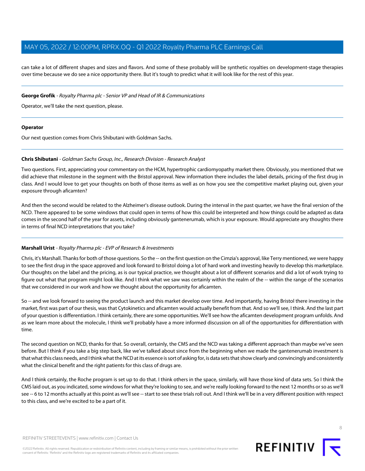can take a lot of different shapes and sizes and flavors. And some of these probably will be synthetic royalties on development-stage therapies over time because we do see a nice opportunity there. But it's tough to predict what it will look like for the rest of this year.

#### **George Grofik** - Royalty Pharma plc - Senior VP and Head of IR & Communications

Operator, we'll take the next question, please.

#### **Operator**

<span id="page-7-0"></span>Our next question comes from Chris Shibutani with Goldman Sachs.

#### **Chris Shibutani** - Goldman Sachs Group, Inc., Research Division - Research Analyst

Two questions. First, appreciating your commentary on the HCM, hypertrophic cardiomyopathy market there. Obviously, you mentioned that we did achieve that milestone in the segment with the Bristol approval. New information there includes the label details, pricing of the first drug in class. And I would love to get your thoughts on both of those items as well as on how you see the competitive market playing out, given your exposure through aficamten?

And then the second would be related to the Alzheimer's disease outlook. During the interval in the past quarter, we have the final version of the NCD. There appeared to be some windows that could open in terms of how this could be interpreted and how things could be adapted as data comes in the second half of the year for assets, including obviously gantenerumab, which is your exposure. Would appreciate any thoughts there in terms of final NCD interpretations that you take?

#### **Marshall Urist** - Royalty Pharma plc - EVP of Research & Investments

Chris, it's Marshall. Thanks for both of those questions. So the -- on the first question on the Cimzia's approval, like Terry mentioned, we were happy to see the first drug in the space approved and look forward to Bristol doing a lot of hard work and investing heavily to develop this marketplace. Our thoughts on the label and the pricing, as is our typical practice, we thought about a lot of different scenarios and did a lot of work trying to figure out what that program might look like. And I think what we saw was certainly within the realm of the -- within the range of the scenarios that we considered in our work and how we thought about the opportunity for aficamten.

So -- and we look forward to seeing the product launch and this market develop over time. And importantly, having Bristol there investing in the market, first was part of our thesis, was that Cytokinetics and aficamten would actually benefit from that. And so we'll see, I think. And the last part of your question is differentiation. I think certainly, there are some opportunities. We'll see how the aficamten development program unfolds. And as we learn more about the molecule, I think we'll probably have a more informed discussion on all of the opportunities for differentiation with time.

The second question on NCD, thanks for that. So overall, certainly, the CMS and the NCD was taking a different approach than maybe we've seen before. But I think if you take a big step back, like we've talked about since from the beginning when we made the gantenerumab investment is that what this class needs, and I think what the NCD at its essence is sort of asking for, is data sets that show clearly and convincingly and consistently what the clinical benefit and the right patients for this class of drugs are.

And I think certainly, the Roche program is set up to do that. I think others in the space, similarly, will have those kind of data sets. So I think the CMS laid out, as you indicated, some windows for what they're looking to see, and we're really looking forward to the next 12 months or so as we'll see -- 6 to 12 months actually at this point as we'll see -- start to see these trials roll out. And I think we'll be in a very different position with respect to this class, and we're excited to be a part of it.

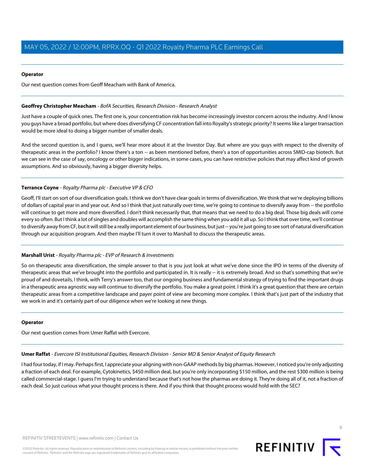#### **Operator**

<span id="page-8-0"></span>Our next question comes from Geoff Meacham with Bank of America.

#### **Geoffrey Christopher Meacham** - BofA Securities, Research Division - Research Analyst

Just have a couple of quick ones. The first one is, your concentration risk has become increasingly investor concern across the industry. And I know you guys have a broad portfolio, but where does diversifying CF concentration fall into Royalty's strategic priority? It seems like a larger transaction would be more ideal to doing a bigger number of smaller deals.

And the second question is, and I guess, we'll hear more about it at the Investor Day. But where are you guys with respect to the diversity of therapeutic areas in the portfolio? I know there's a ton -- as been mentioned before, there's a ton of opportunities across SMID-cap biotech. But we can see in the case of say, oncology or other bigger indications, in some cases, you can have restrictive policies that may affect kind of growth assumptions. And so obviously, having a bigger diversity helps.

## **Terrance Coyne** - Royalty Pharma plc - Executive VP & CFO

Geoff, I'll start on sort of our diversification goals. I think we don't have clear goals in terms of diversification. We think that we're deploying billions of dollars of capital year in and year out. And so I think that just naturally over time, we're going to continue to diversify away from -- the portfolio will continue to get more and more diversified. I don't think necessarily that, that means that we need to do a big deal. Those big deals will come every so often. But I think a lot of singles and doubles will accomplish the same thing when you add it all up. So I think that over time, we'll continue to diversify away from CF, but it will still be a really important element of our business, but just -- you're just going to see sort of natural diversification through our acquisition program. And then maybe I'll turn it over to Marshall to discuss the therapeutic areas.

## **Marshall Urist** - Royalty Pharma plc - EVP of Research & Investments

So on therapeutic area diversification, the simple answer to that is you just look at what we've done since the IPO in terms of the diversity of therapeutic areas that we've brought into the portfolio and participated in. It is really -- it is extremely broad. And so that's something that we're proud of and dovetails, I think, with Terry's answer too, that our ongoing business and fundamental strategy of trying to find the important drugs in a therapeutic area agnostic way will continue to diversify the portfolio. You make a great point. I think it's a great question that there are certain therapeutic areas from a competitive landscape and payer point of view are becoming more complex. I think that's just part of the industry that we work in and it's certainly part of our diligence when we're looking at new things.

#### <span id="page-8-1"></span>**Operator**

Our next question comes from Umer Raffat with Evercore.

**Umer Raffat** - Evercore ISI Institutional Equities, Research Division - Senior MD & Senior Analyst of Equity Research

I had four today, if I may. Perhaps first, I appreciate your aligning with non-GAAP methods by big pharmas. However, I noticed you're only adjusting a fraction of each deal. For example, Cytokinetics, \$450 million deal, but you're only incorporating \$150 million, and the rest \$300 million is being called commercial-stage. I guess I'm trying to understand because that's not how the pharmas are doing it. They're doing all of it, not a fraction of each deal. So just curious what your thought process is there. And if you think that thought process would hold with the SEC?

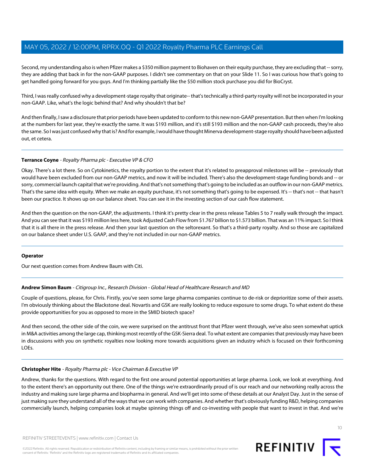Second, my understanding also is when Pfizer makes a \$350 million payment to Biohaven on their equity purchase, they are excluding that -- sorry, they are adding that back in for the non-GAAP purposes. I didn't see commentary on that on your Slide 11. So I was curious how that's going to get handled going forward for you guys. And I'm thinking partially like the \$50 million stock purchase you did for BioCryst.

Third, I was really confused why a development-stage royalty that originate-- that's technically a third-party royalty will not be incorporated in your non-GAAP. Like, what's the logic behind that? And why shouldn't that be?

And then finally, I saw a disclosure that prior periods have been updated to conform to this new non-GAAP presentation. But then when I'm looking at the numbers for last year, they're exactly the same. It was \$193 million, and it's still \$193 million and the non-GAAP cash proceeds, they're also the same. So I was just confused why that is? And for example, I would have thought Minerva development-stage royalty should have been adjusted out, et cetera.

## **Terrance Coyne** - Royalty Pharma plc - Executive VP & CFO

Okay. There's a lot there. So on Cytokinetics, the royalty portion to the extent that it's related to preapproval milestones will be -- previously that would have been excluded from our non-GAAP metrics, and now it will be included. There's also the development-stage funding bonds and -- or sorry, commercial launch capital that we're providing. And that's not something that's going to be included as an outflow in our non-GAAP metrics. That's the same idea with equity. When we make an equity purchase, it's not something that's going to be expensed. It's -- that's not -- that hasn't been our practice. It shows up on our balance sheet. You can see it in the investing section of our cash flow statement.

And then the question on the non-GAAP, the adjustments. I think it's pretty clear in the press release Tables 5 to 7 really walk through the impact. And you can see that it was \$193 million less here, took Adjusted Cash Flow from \$1.767 billion to \$1.573 billion. That was an 11% impact. So I think that it is all there in the press release. And then your last question on the seltorexant. So that's a third-party royalty. And so those are capitalized on our balance sheet under U.S. GAAP, and they're not included in our non-GAAP metrics.

#### <span id="page-9-0"></span>**Operator**

Our next question comes from Andrew Baum with Citi.

## **Andrew Simon Baum** - Citigroup Inc., Research Division - Global Head of Healthcare Research and MD

Couple of questions, please, for Chris. Firstly, you've seen some large pharma companies continue to de-risk or deprioritize some of their assets. I'm obviously thinking about the Blackstone deal. Novartis and GSK are really looking to reduce exposure to some drugs. To what extent do these provide opportunities for you as opposed to more in the SMID biotech space?

And then second, the other side of the coin, we were surprised on the antitrust front that Pfizer went through, we've also seen somewhat uptick in M&A activities among the large cap, thinking most recently of the GSK-Sierra deal. To what extent are companies that previously may have been in discussions with you on synthetic royalties now looking more towards acquisitions given an industry which is focused on their forthcoming LOEs.

#### **Christopher Hite** - Royalty Pharma plc - Vice Chairman & Executive VP

Andrew, thanks for the questions. With regard to the first one around potential opportunities at large pharma. Look, we look at everything. And to the extent there's an opportunity out there. One of the things we're extraordinarily proud of is our reach and our networking really across the industry and making sure large pharma and biopharma in general. And we'll get into some of these details at our Analyst Day. Just in the sense of just making sure they understand all of the ways that we can work with companies. And whether that's obviously funding R&D, helping companies commercially launch, helping companies look at maybe spinning things off and co-investing with people that want to invest in that. And we're

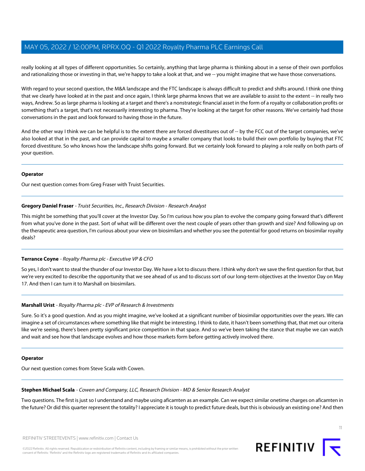really looking at all types of different opportunities. So certainly, anything that large pharma is thinking about in a sense of their own portfolios and rationalizing those or investing in that, we're happy to take a look at that, and we -- you might imagine that we have those conversations.

With regard to your second question, the M&A landscape and the FTC landscape is always difficult to predict and shifts around. I think one thing that we clearly have looked at in the past and once again, I think large pharma knows that we are available to assist to the extent -- in really two ways, Andrew. So as large pharma is looking at a target and there's a nonstrategic financial asset in the form of a royalty or collaboration profits or something that's a target, that's not necessarily interesting to pharma. They're looking at the target for other reasons. We've certainly had those conversations in the past and look forward to having those in the future.

And the other way I think we can be helpful is to the extent there are forced divestitures out of -- by the FCC out of the target companies, we've also looked at that in the past, and can provide capital to maybe a smaller company that looks to build their own portfolio by buying that FTC forced divestiture. So who knows how the landscape shifts going forward. But we certainly look forward to playing a role really on both parts of your question.

#### **Operator**

<span id="page-10-0"></span>Our next question comes from Greg Fraser with Truist Securities.

## **Gregory Daniel Fraser** - Truist Securities, Inc., Research Division - Research Analyst

This might be something that you'll cover at the Investor Day. So I'm curious how you plan to evolve the company going forward that's different from what you've done in the past. Sort of what will be different over the next couple of years other than growth and size? And following up on the therapeutic area question, I'm curious about your view on biosimilars and whether you see the potential for good returns on biosimilar royalty deals?

## **Terrance Coyne** - Royalty Pharma plc - Executive VP & CFO

So yes, I don't want to steal the thunder of our Investor Day. We have a lot to discuss there. I think why don't we save the first question for that, but we're very excited to describe the opportunity that we see ahead of us and to discuss sort of our long-term objectives at the Investor Day on May 17. And then I can turn it to Marshall on biosimilars.

## **Marshall Urist** - Royalty Pharma plc - EVP of Research & Investments

Sure. So it's a good question. And as you might imagine, we've looked at a significant number of biosimilar opportunities over the years. We can imagine a set of circumstances where something like that might be interesting. I think to date, it hasn't been something that, that met our criteria like we're seeing, there's been pretty significant price competition in that space. And so we've been taking the stance that maybe we can watch and wait and see how that landscape evolves and how those markets form before getting actively involved there.

#### <span id="page-10-1"></span>**Operator**

Our next question comes from Steve Scala with Cowen.

#### **Stephen Michael Scala** - Cowen and Company, LLC, Research Division - MD & Senior Research Analyst

Two questions. The first is just so I understand and maybe using aficamten as an example. Can we expect similar onetime charges on aficamten in the future? Or did this quarter represent the totality? I appreciate it is tough to predict future deals, but this is obviously an existing one? And then

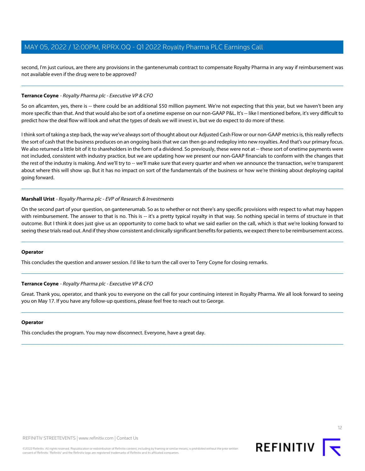second, I'm just curious, are there any provisions in the gantenerumab contract to compensate Royalty Pharma in any way if reimbursement was not available even if the drug were to be approved?

#### **Terrance Coyne** - Royalty Pharma plc - Executive VP & CFO

So on aficamten, yes, there is -- there could be an additional \$50 million payment. We're not expecting that this year, but we haven't been any more specific than that. And that would also be sort of a onetime expense on our non-GAAP P&L. It's -- like I mentioned before, it's very difficult to predict how the deal flow will look and what the types of deals we will invest in, but we do expect to do more of these.

I think sort of taking a step back, the way we've always sort of thought about our Adjusted Cash Flow or our non-GAAP metrics is, this really reflects the sort of cash that the business produces on an ongoing basis that we can then go and redeploy into new royalties. And that's our primary focus. We also returned a little bit of it to shareholders in the form of a dividend. So previously, these were not at -- these sort of onetime payments were not included, consistent with industry practice, but we are updating how we present our non-GAAP financials to conform with the changes that the rest of the industry is making. And we'll try to -- we'll make sure that every quarter and when we announce the transaction, we're transparent about where this will show up. But it has no impact on sort of the fundamentals of the business or how we're thinking about deploying capital going forward.

#### **Marshall Urist** - Royalty Pharma plc - EVP of Research & Investments

On the second part of your question, on gantenerumab. So as to whether or not there's any specific provisions with respect to what may happen with reimbursement. The answer to that is no. This is -- it's a pretty typical royalty in that way. So nothing special in terms of structure in that outcome. But I think it does just give us an opportunity to come back to what we said earlier on the call, which is that we're looking forward to seeing these trials read out. And if they show consistent and clinically significant benefits for patients, we expect there to be reimbursement access.

#### **Operator**

This concludes the question and answer session. I'd like to turn the call over to Terry Coyne for closing remarks.

#### **Terrance Coyne** - Royalty Pharma plc - Executive VP & CFO

Great. Thank you, operator, and thank you to everyone on the call for your continuing interest in Royalty Pharma. We all look forward to seeing you on May 17. If you have any follow-up questions, please feel free to reach out to George.

#### **Operator**

This concludes the program. You may now disconnect. Everyone, have a great day.

12